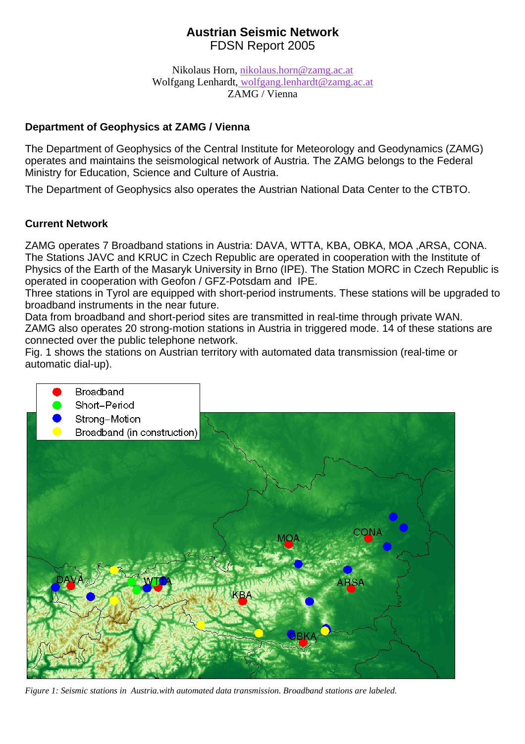# **Austrian Seismic Network**  FDSN Report 2005

Nikolaus Horn, [nikolaus.horn@zamg.ac.at](mailto:nikolaus.horn@zamg.ac.at) Wolfgang Lenhardt, [wolfgang.lenhardt@zamg.ac.at](mailto:wolfgang.lenhardt@zamg.ac.at) ZAMG / Vienna

## **Department of Geophysics at ZAMG / Vienna**

The Department of Geophysics of the Central Institute for Meteorology and Geodynamics (ZAMG) operates and maintains the seismological network of Austria. The ZAMG belongs to the Federal Ministry for Education, Science and Culture of Austria.

The Department of Geophysics also operates the Austrian National Data Center to the CTBTO.

# **Current Network**

ZAMG operates 7 Broadband stations in Austria: DAVA, WTTA, KBA, OBKA, MOA ,ARSA, CONA. The Stations JAVC and KRUC in Czech Republic are operated in cooperation with the Institute of Physics of the Earth of the Masaryk University in Brno (IPE). The Station MORC in Czech Republic is operated in cooperation with Geofon / GFZ-Potsdam and IPE.

Three stations in Tyrol are equipped with short-period instruments. These stations will be upgraded to broadband instruments in the near future.

Data from broadband and short-period sites are transmitted in real-time through private WAN. ZAMG also operates 20 strong-motion stations in Austria in triggered mode. 14 of these stations are connected over the public telephone network.

Fig. 1 shows the stations on Austrian territory with automated data transmission (real-time or automatic dial-up).



*Figure 1: Seismic stations in Austria.with automated data transmission. Broadband stations are labeled.*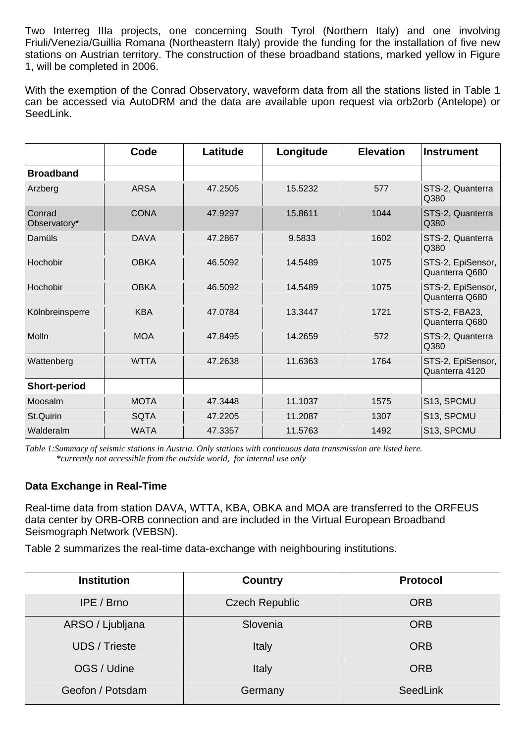Two Interreg IIIa projects, one concerning South Tyrol (Northern Italy) and one involving Friuli/Venezia/Guillia Romana (Northeastern Italy) provide the funding for the installation of five new stations on Austrian territory. The construction of these broadband stations, marked yellow in Figure 1, will be completed in 2006.

With the exemption of the Conrad Observatory, waveform data from all the stations listed in Table 1 can be accessed via AutoDRM and the data are available upon request via orb2orb (Antelope) or SeedLink.

|                        | Code        | Latitude | Longitude | <b>Elevation</b> | <b>Instrument</b>                   |
|------------------------|-------------|----------|-----------|------------------|-------------------------------------|
| <b>Broadband</b>       |             |          |           |                  |                                     |
| Arzberg                | <b>ARSA</b> | 47.2505  | 15.5232   | 577              | STS-2, Quanterra<br>Q380            |
| Conrad<br>Observatory* | <b>CONA</b> | 47.9297  | 15.8611   | 1044             | STS-2, Quanterra<br>Q380            |
| Damüls                 | <b>DAVA</b> | 47.2867  | 9.5833    | 1602             | STS-2, Quanterra<br>Q380            |
| Hochobir               | <b>OBKA</b> | 46.5092  | 14.5489   | 1075             | STS-2, EpiSensor,<br>Quanterra Q680 |
| Hochobir               | <b>OBKA</b> | 46.5092  | 14.5489   | 1075             | STS-2, EpiSensor,<br>Quanterra Q680 |
| Kölnbreinsperre        | <b>KBA</b>  | 47.0784  | 13.3447   | 1721             | STS-2, FBA23,<br>Quanterra Q680     |
| Molln                  | <b>MOA</b>  | 47.8495  | 14.2659   | 572              | STS-2, Quanterra<br>Q380            |
| Wattenberg             | <b>WTTA</b> | 47.2638  | 11.6363   | 1764             | STS-2, EpiSensor,<br>Quanterra 4120 |
| <b>Short-period</b>    |             |          |           |                  |                                     |
| Moosalm                | <b>MOTA</b> | 47.3448  | 11.1037   | 1575             | S13, SPCMU                          |
| St.Quirin              | <b>SQTA</b> | 47.2205  | 11.2087   | 1307             | S13, SPCMU                          |
| Walderalm              | <b>WATA</b> | 47.3357  | 11.5763   | 1492             | S13, SPCMU                          |

*Table 1:Summary of seismic stations in Austria. Only stations with continuous data transmission are listed here. \*currently not accessible from the outside world, for internal use only*

### **Data Exchange in Real-Time**

Real-time data from station DAVA, WTTA, KBA, OBKA and MOA are transferred to the ORFEUS data center by ORB-ORB connection and are included in the Virtual European Broadband Seismograph Network (VEBSN).

Table 2 summarizes the real-time data-exchange with neighbouring institutions.

| <b>Institution</b>   | <b>Country</b>        | <b>Protocol</b> |  |
|----------------------|-----------------------|-----------------|--|
| IPE / Brno           | <b>Czech Republic</b> | <b>ORB</b>      |  |
| ARSO / Ljubljana     | Slovenia              | <b>ORB</b>      |  |
| <b>UDS</b> / Trieste | Italy                 | <b>ORB</b>      |  |
| OGS / Udine          | Italy                 | <b>ORB</b>      |  |
| Geofon / Potsdam     | Germany               | SeedLink        |  |